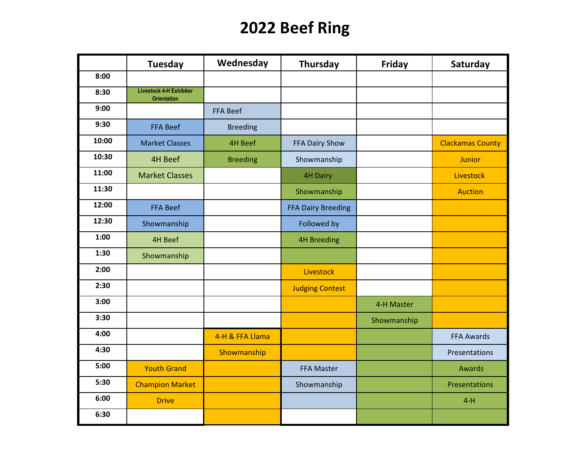### **2022 Beef Ring**

|       | <b>Tuesday</b>                                       | Wednesday       | <b>Thursday</b>           | Friday      | Saturday                |
|-------|------------------------------------------------------|-----------------|---------------------------|-------------|-------------------------|
| 8:00  |                                                      |                 |                           |             |                         |
| 8:30  | <b>Livestock 4-H Exhibitor</b><br><b>Orientation</b> |                 |                           |             |                         |
| 9:00  |                                                      | <b>FFA Beef</b> |                           |             |                         |
| 9:30  | <b>FFA Beef</b>                                      | <b>Breeding</b> |                           |             |                         |
| 10:00 | <b>Market Classes</b>                                | <b>4H Beef</b>  | FFA Dairy Show            |             | <b>Clackamas County</b> |
| 10:30 | 4H Beef                                              | <b>Breeding</b> | Showmanship               |             | <b>Junior</b>           |
| 11:00 | <b>Market Classes</b>                                |                 | <b>4H Dairy</b>           |             | <b>Livestock</b>        |
| 11:30 |                                                      |                 | Showmanship               |             | <b>Auction</b>          |
| 12:00 | <b>FFA Beef</b>                                      |                 | <b>FFA Dairy Breeding</b> |             |                         |
| 12:30 | Showmanship                                          |                 | Followed by               |             |                         |
| 1:00  | <b>4H Beef</b>                                       |                 | <b>4H Breeding</b>        |             |                         |
| 1:30  | Showmanship                                          |                 |                           |             |                         |
| 2:00  |                                                      |                 | <b>Livestock</b>          |             |                         |
| 2:30  |                                                      |                 | <b>Judging Contest</b>    |             |                         |
| 3:00  |                                                      |                 |                           | 4-H Master  |                         |
| 3:30  |                                                      |                 |                           | Showmanship |                         |
| 4:00  |                                                      | 4-H & FFA Llama |                           |             | <b>FFA Awards</b>       |
| 4:30  |                                                      | Showmanship     |                           |             | Presentations           |
| 5:00  | <b>Youth Grand</b>                                   |                 | <b>FFA Master</b>         |             | Awards                  |
| 5:30  | <b>Champion Market</b>                               |                 | Showmanship               |             | Presentations           |
| 6:00  | <b>Drive</b>                                         |                 |                           |             | $4-H$                   |
| 6:30  |                                                      |                 |                           |             |                         |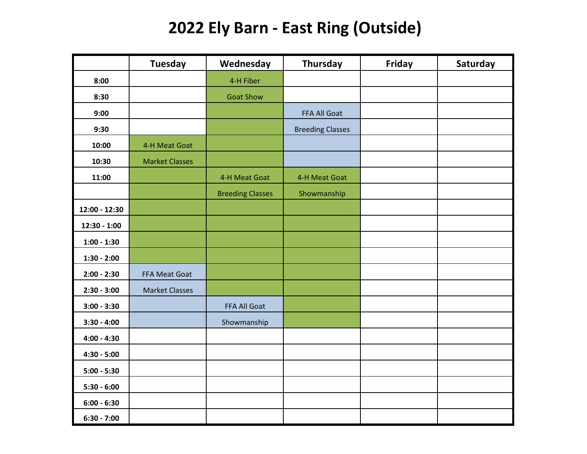### **2022 Ely Barn - East Ring (Outside)**

|                | <b>Tuesday</b>        | Wednesday               | Thursday                | Friday | Saturday |
|----------------|-----------------------|-------------------------|-------------------------|--------|----------|
| 8:00           |                       | 4-H Fiber               |                         |        |          |
| 8:30           |                       | <b>Goat Show</b>        |                         |        |          |
| 9:00           |                       |                         | FFA All Goat            |        |          |
| 9:30           |                       |                         | <b>Breeding Classes</b> |        |          |
| 10:00          | 4-H Meat Goat         |                         |                         |        |          |
| 10:30          | <b>Market Classes</b> |                         |                         |        |          |
| 11:00          |                       | 4-H Meat Goat           | 4-H Meat Goat           |        |          |
|                |                       | <b>Breeding Classes</b> | Showmanship             |        |          |
| 12:00 - 12:30  |                       |                         |                         |        |          |
| $12:30 - 1:00$ |                       |                         |                         |        |          |
| $1:00 - 1:30$  |                       |                         |                         |        |          |
| $1:30 - 2:00$  |                       |                         |                         |        |          |
| $2:00 - 2:30$  | FFA Meat Goat         |                         |                         |        |          |
| $2:30 - 3:00$  | <b>Market Classes</b> |                         |                         |        |          |
| $3:00 - 3:30$  |                       | FFA All Goat            |                         |        |          |
| $3:30 - 4:00$  |                       | Showmanship             |                         |        |          |
| $4:00 - 4:30$  |                       |                         |                         |        |          |
| $4:30 - 5:00$  |                       |                         |                         |        |          |
| $5:00 - 5:30$  |                       |                         |                         |        |          |
| $5:30 - 6:00$  |                       |                         |                         |        |          |
| $6:00 - 6:30$  |                       |                         |                         |        |          |
| $6:30 - 7:00$  |                       |                         |                         |        |          |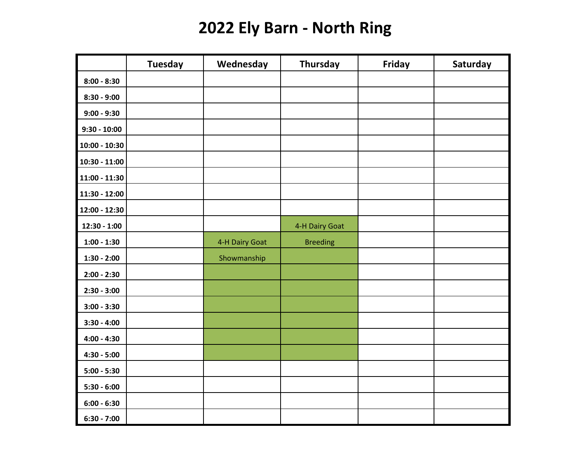## **2022 Ely Barn - North Ring**

|                 | <b>Tuesday</b> | Wednesday      | <b>Thursday</b> | Friday | Saturday |
|-----------------|----------------|----------------|-----------------|--------|----------|
| $8:00 - 8:30$   |                |                |                 |        |          |
| $8:30 - 9:00$   |                |                |                 |        |          |
| $9:00 - 9:30$   |                |                |                 |        |          |
| $9:30 - 10:00$  |                |                |                 |        |          |
| $10:00 - 10:30$ |                |                |                 |        |          |
| $10:30 - 11:00$ |                |                |                 |        |          |
| $11:00 - 11:30$ |                |                |                 |        |          |
| 11:30 - 12:00   |                |                |                 |        |          |
| 12:00 - 12:30   |                |                |                 |        |          |
| $12:30 - 1:00$  |                |                | 4-H Dairy Goat  |        |          |
| $1:00 - 1:30$   |                | 4-H Dairy Goat | <b>Breeding</b> |        |          |
| $1:30 - 2:00$   |                | Showmanship    |                 |        |          |
| $2:00 - 2:30$   |                |                |                 |        |          |
| $2:30 - 3:00$   |                |                |                 |        |          |
| $3:00 - 3:30$   |                |                |                 |        |          |
| $3:30 - 4:00$   |                |                |                 |        |          |
| $4:00 - 4:30$   |                |                |                 |        |          |
| $4:30 - 5:00$   |                |                |                 |        |          |
| $5:00 - 5:30$   |                |                |                 |        |          |
| $5:30 - 6:00$   |                |                |                 |        |          |
| $6:00 - 6:30$   |                |                |                 |        |          |
| $6:30 - 7:00$   |                |                |                 |        |          |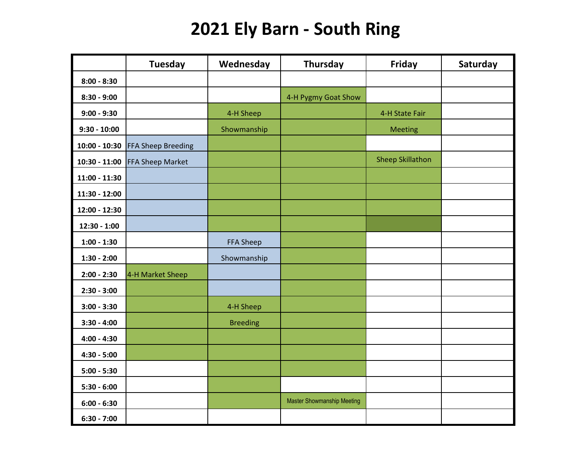# **2021 Ely Barn - South Ring**

|                 | <b>Tuesday</b>                   | Wednesday        | Thursday                          | Friday                  | Saturday |
|-----------------|----------------------------------|------------------|-----------------------------------|-------------------------|----------|
| $8:00 - 8:30$   |                                  |                  |                                   |                         |          |
| $8:30 - 9:00$   |                                  |                  | 4-H Pygmy Goat Show               |                         |          |
| $9:00 - 9:30$   |                                  | 4-H Sheep        |                                   | 4-H State Fair          |          |
| $9:30 - 10:00$  |                                  | Showmanship      |                                   | <b>Meeting</b>          |          |
|                 | 10:00 - 10:30 FFA Sheep Breeding |                  |                                   |                         |          |
|                 | 10:30 - 11:00 FFA Sheep Market   |                  |                                   | <b>Sheep Skillathon</b> |          |
| $11:00 - 11:30$ |                                  |                  |                                   |                         |          |
| 11:30 - 12:00   |                                  |                  |                                   |                         |          |
| 12:00 - 12:30   |                                  |                  |                                   |                         |          |
| $12:30 - 1:00$  |                                  |                  |                                   |                         |          |
| $1:00 - 1:30$   |                                  | <b>FFA Sheep</b> |                                   |                         |          |
| $1:30 - 2:00$   |                                  | Showmanship      |                                   |                         |          |
| $2:00 - 2:30$   | 4-H Market Sheep                 |                  |                                   |                         |          |
| $2:30 - 3:00$   |                                  |                  |                                   |                         |          |
| $3:00 - 3:30$   |                                  | 4-H Sheep        |                                   |                         |          |
| $3:30 - 4:00$   |                                  | <b>Breeding</b>  |                                   |                         |          |
| $4:00 - 4:30$   |                                  |                  |                                   |                         |          |
| $4:30 - 5:00$   |                                  |                  |                                   |                         |          |
| $5:00 - 5:30$   |                                  |                  |                                   |                         |          |
| $5:30 - 6:00$   |                                  |                  |                                   |                         |          |
| $6:00 - 6:30$   |                                  |                  | <b>Master Showmanship Meeting</b> |                         |          |
| $6:30 - 7:00$   |                                  |                  |                                   |                         |          |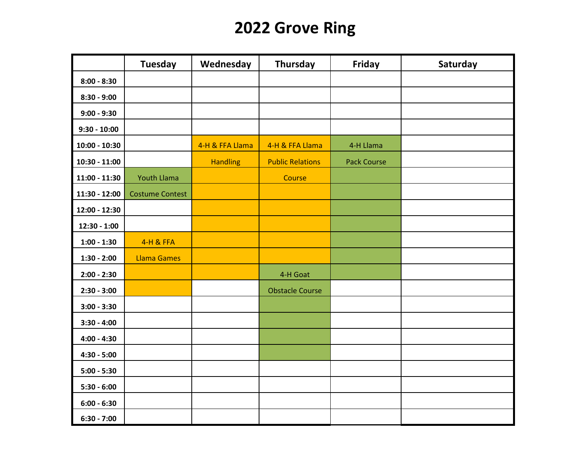## **2022 Grove Ring**

|                 | <b>Tuesday</b>         | Wednesday       | <b>Thursday</b>         | Friday             | Saturday |
|-----------------|------------------------|-----------------|-------------------------|--------------------|----------|
| $8:00 - 8:30$   |                        |                 |                         |                    |          |
| $8:30 - 9:00$   |                        |                 |                         |                    |          |
| $9:00 - 9:30$   |                        |                 |                         |                    |          |
| $9:30 - 10:00$  |                        |                 |                         |                    |          |
| $10:00 - 10:30$ |                        | 4-H & FFA Llama | 4-H & FFA Llama         | 4-H Llama          |          |
| $10:30 - 11:00$ |                        | <b>Handling</b> | <b>Public Relations</b> | <b>Pack Course</b> |          |
| $11:00 - 11:30$ | <b>Youth Llama</b>     |                 | Course                  |                    |          |
| 11:30 - 12:00   | <b>Costume Contest</b> |                 |                         |                    |          |
| 12:00 - 12:30   |                        |                 |                         |                    |          |
| 12:30 - 1:00    |                        |                 |                         |                    |          |
| $1:00 - 1:30$   | 4-H & FFA              |                 |                         |                    |          |
| $1:30 - 2:00$   | <b>Llama Games</b>     |                 |                         |                    |          |
| $2:00 - 2:30$   |                        |                 | 4-H Goat                |                    |          |
| $2:30 - 3:00$   |                        |                 | <b>Obstacle Course</b>  |                    |          |
| $3:00 - 3:30$   |                        |                 |                         |                    |          |
| $3:30 - 4:00$   |                        |                 |                         |                    |          |
| $4:00 - 4:30$   |                        |                 |                         |                    |          |
| $4:30 - 5:00$   |                        |                 |                         |                    |          |
| $5:00 - 5:30$   |                        |                 |                         |                    |          |
| $5:30 - 6:00$   |                        |                 |                         |                    |          |
| $6:00 - 6:30$   |                        |                 |                         |                    |          |
| $6:30 - 7:00$   |                        |                 |                         |                    |          |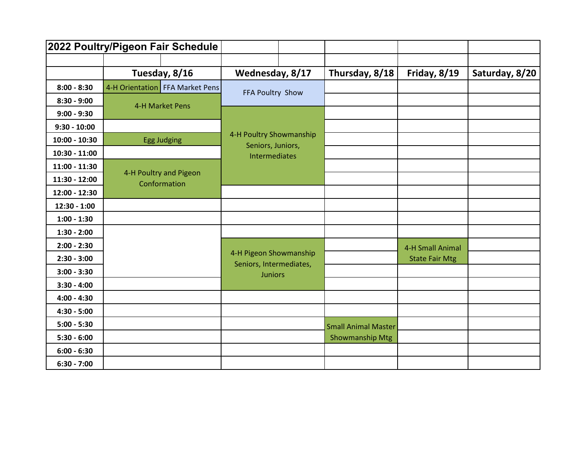|                 |               | 2022 Poultry/Pigeon Fair Schedule      |                                                   |  |                            |                       |                |
|-----------------|---------------|----------------------------------------|---------------------------------------------------|--|----------------------------|-----------------------|----------------|
|                 |               |                                        |                                                   |  |                            |                       |                |
|                 | Tuesday, 8/16 |                                        | Wednesday, 8/17                                   |  | Thursday, 8/18             | Friday, 8/19          | Saturday, 8/20 |
| $8:00 - 8:30$   |               | 4-H Orientation FFA Market Pens        | FFA Poultry Show                                  |  |                            |                       |                |
| $8:30 - 9:00$   |               | 4-H Market Pens                        |                                                   |  |                            |                       |                |
| $9:00 - 9:30$   |               |                                        |                                                   |  |                            |                       |                |
| $9:30 - 10:00$  |               |                                        |                                                   |  |                            |                       |                |
| $10:00 - 10:30$ |               | <b>Egg Judging</b>                     | 4-H Poultry Showmanship                           |  |                            |                       |                |
| $10:30 - 11:00$ |               |                                        | Seniors, Juniors,<br><b>Intermediates</b>         |  |                            |                       |                |
| $11:00 - 11:30$ |               |                                        |                                                   |  |                            |                       |                |
| $11:30 - 12:00$ |               | 4-H Poultry and Pigeon<br>Conformation |                                                   |  |                            |                       |                |
| 12:00 - 12:30   |               |                                        |                                                   |  |                            |                       |                |
| $12:30 - 1:00$  |               |                                        |                                                   |  |                            |                       |                |
| $1:00 - 1:30$   |               |                                        |                                                   |  |                            |                       |                |
| $1:30 - 2:00$   |               |                                        |                                                   |  |                            |                       |                |
| $2:00 - 2:30$   |               |                                        |                                                   |  |                            | 4-H Small Animal      |                |
| $2:30 - 3:00$   |               |                                        | 4-H Pigeon Showmanship<br>Seniors, Intermediates, |  |                            | <b>State Fair Mtg</b> |                |
| $3:00 - 3:30$   |               |                                        | <b>Juniors</b>                                    |  |                            |                       |                |
| $3:30 - 4:00$   |               |                                        |                                                   |  |                            |                       |                |
| $4:00 - 4:30$   |               |                                        |                                                   |  |                            |                       |                |
| $4:30 - 5:00$   |               |                                        |                                                   |  |                            |                       |                |
| $5:00 - 5:30$   |               |                                        |                                                   |  | <b>Small Animal Master</b> |                       |                |
| $5:30 - 6:00$   |               |                                        |                                                   |  | <b>Showmanship Mtg</b>     |                       |                |
| $6:00 - 6:30$   |               |                                        |                                                   |  |                            |                       |                |
| $6:30 - 7:00$   |               |                                        |                                                   |  |                            |                       |                |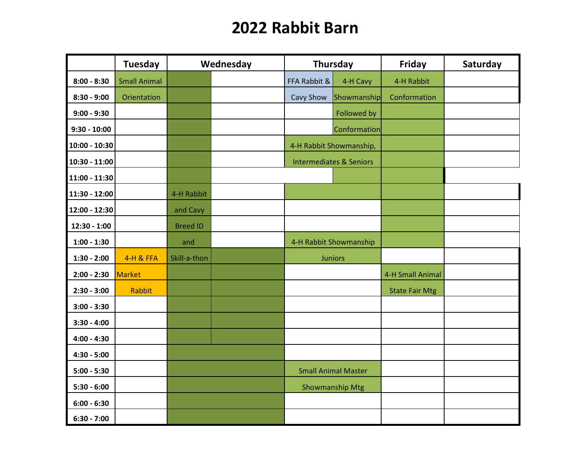### **2022 Rabbit Barn**

|                 | <b>Tuesday</b>       |                 | Wednesday |              | Thursday                           | <b>Friday</b>         | Saturday |
|-----------------|----------------------|-----------------|-----------|--------------|------------------------------------|-----------------------|----------|
| $8:00 - 8:30$   | <b>Small Animal</b>  |                 |           | FFA Rabbit & | 4-H Cavy                           | 4-H Rabbit            |          |
| $8:30 - 9:00$   | Orientation          |                 |           | Cavy Show    | Showmanship                        | Conformation          |          |
| $9:00 - 9:30$   |                      |                 |           |              | <b>Followed by</b>                 |                       |          |
| $9:30 - 10:00$  |                      |                 |           |              | Conformation                       |                       |          |
| $10:00 - 10:30$ |                      |                 |           |              | 4-H Rabbit Showmanship,            |                       |          |
| $10:30 - 11:00$ |                      |                 |           |              | <b>Intermediates &amp; Seniors</b> |                       |          |
| $11:00 - 11:30$ |                      |                 |           |              |                                    |                       |          |
| 11:30 - 12:00   |                      | 4-H Rabbit      |           |              |                                    |                       |          |
| 12:00 - 12:30   |                      | and Cavy        |           |              |                                    |                       |          |
| $12:30 - 1:00$  |                      | <b>Breed ID</b> |           |              |                                    |                       |          |
| $1:00 - 1:30$   |                      | and             |           |              | 4-H Rabbit Showmanship             |                       |          |
| $1:30 - 2:00$   | <b>4-H &amp; FFA</b> | Skill-a-thon    |           |              | <b>Juniors</b>                     |                       |          |
| $2:00 - 2:30$   | Market               |                 |           |              |                                    | 4-H Small Animal      |          |
| $2:30 - 3:00$   | Rabbit               |                 |           |              |                                    | <b>State Fair Mtg</b> |          |
| $3:00 - 3:30$   |                      |                 |           |              |                                    |                       |          |
| $3:30 - 4:00$   |                      |                 |           |              |                                    |                       |          |
| $4:00 - 4:30$   |                      |                 |           |              |                                    |                       |          |
| $4:30 - 5:00$   |                      |                 |           |              |                                    |                       |          |
| $5:00 - 5:30$   |                      |                 |           |              | <b>Small Animal Master</b>         |                       |          |
| $5:30 - 6:00$   |                      |                 |           |              | <b>Showmanship Mtg</b>             |                       |          |
| $6:00 - 6:30$   |                      |                 |           |              |                                    |                       |          |
| $6:30 - 7:00$   |                      |                 |           |              |                                    |                       |          |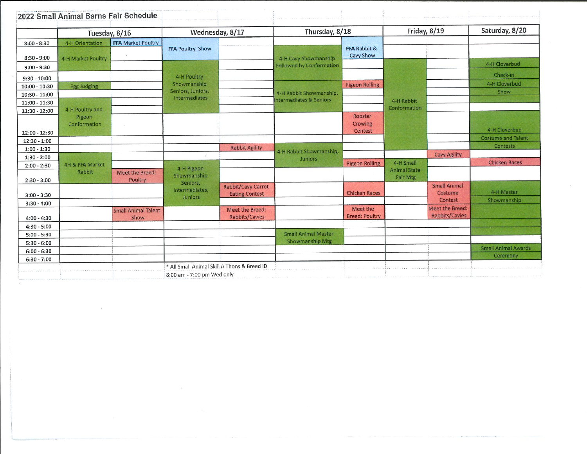|                 | Tuesday, 8/16              |                            | Wednesday, 8/17                    |                       | Thursday, 8/18                            |                                  |                            | Friday, 8/19                   | Saturday, 8/20             |
|-----------------|----------------------------|----------------------------|------------------------------------|-----------------------|-------------------------------------------|----------------------------------|----------------------------|--------------------------------|----------------------------|
| $8:00 - 8:30$   | 4-H Orientation            | <b>FFA Market Poultry</b>  |                                    |                       |                                           |                                  |                            |                                |                            |
|                 |                            |                            | <b>FFA Poultry Show</b>            |                       |                                           | FFA Rabbit &<br><b>Cavy Show</b> |                            |                                |                            |
| $8:30 - 9:00$   | 4-H Market Poultry         |                            |                                    |                       | 4-H Cavy Showmanship                      |                                  |                            |                                | 4-H Cloverbud              |
| $9:00 - 9:30$   |                            |                            |                                    |                       | <b>Followed by Conformation</b>           |                                  |                            |                                |                            |
| $9:30 - 10:00$  |                            |                            | 4-H Poultry                        |                       |                                           |                                  |                            |                                | Check-in                   |
| 10:00 - 10:30   | <b>Egg Judging</b>         |                            | Showmanship                        |                       |                                           | <b>Pigeon Rolling</b>            |                            |                                | 4-H Cloverbud              |
| $10:30 - 11:00$ |                            |                            | Seniors, Juniors,<br>Intermediates |                       | 4-H Rabbit Showmanship,                   |                                  |                            |                                | Show                       |
| $11:00 - 11:30$ |                            |                            |                                    |                       | Intermediates & Seniors                   |                                  | 4-H Rabbit<br>Conformation |                                |                            |
| 11:30 - 12:00   | 4-H Poultry and            |                            |                                    |                       |                                           | Rooster                          |                            |                                |                            |
|                 | Pigeon<br>Conformation     |                            |                                    |                       |                                           | Crowing                          |                            |                                |                            |
| 12:00 - 12:30   |                            |                            |                                    |                       |                                           | Contest                          |                            |                                | 4-H Cloverbud              |
| $12:30 - 1:00$  |                            |                            |                                    |                       |                                           |                                  |                            |                                | <b>Costume and Talent</b>  |
| $1:00 - 1:30$   |                            |                            |                                    | <b>Rabbit Agility</b> |                                           |                                  |                            |                                | Contests                   |
| $1:30 - 2:00$   |                            |                            |                                    |                       | 4-H Rabbit Showmanship,<br><b>Juniors</b> |                                  |                            | <b>Cavy Agility</b>            |                            |
| $2:00 - 2:30$   | <b>4H &amp; FFA Market</b> |                            |                                    |                       |                                           | <b>Pigeon Rolling</b>            | 4-H Small                  |                                | <b>Chicken Races</b>       |
|                 | Rabbit                     | Meet the Breed:            | 4-H Pigeon<br>Showmanship          |                       |                                           |                                  | <b>Animal State</b>        |                                |                            |
| $2:30 - 3:00$   |                            | Poultry                    | Seniors,                           |                       |                                           |                                  | <b>Fair Mtg</b>            |                                |                            |
|                 |                            |                            | Intermediates,                     | Rabbit/Cavy Carrot    |                                           | <b>Chicken Races</b>             |                            | <b>Small Animal</b><br>Costume | 4-H Master                 |
| $3:00 - 3:30$   |                            |                            | Juniors                            | <b>Eating Contest</b> |                                           |                                  |                            | Contest                        | Showmanship                |
| $3:30 - 4:00$   |                            | <b>Small Animal Talent</b> |                                    | Meet the Breed:       |                                           | Meet the                         |                            | Meet the Breed:                |                            |
| $4:00 - 4:30$   |                            | Show                       |                                    | Rabbits/Cavies        |                                           | <b>Breed: Poultry</b>            |                            | Rabbits/Cavies                 |                            |
| $4:30 - 5:00$   |                            |                            |                                    |                       |                                           |                                  |                            |                                |                            |
| $5:00 - 5:30$   |                            |                            |                                    |                       | <b>Small Animal Master</b>                |                                  |                            |                                |                            |
| $5:30 - 6:00$   |                            |                            |                                    |                       | Showmanship Mtg                           |                                  |                            |                                |                            |
| $6:00 - 6:30$   |                            |                            |                                    |                       |                                           |                                  |                            |                                | <b>Small Animal Awards</b> |
| $6:30 - 7:00$   |                            |                            |                                    |                       |                                           |                                  |                            |                                | Ceremony                   |

 $\label{eq:3.1} \left\| \theta \right\| = \left\| \theta - \theta \right\| \leq \left\| \theta - \theta \right\| \leq \left\| \theta - \theta \right\| \leq \left\| \theta - \theta \right\| \leq \left\| \theta - \theta \right\| \leq \left\| \theta - \theta \right\| \leq \left\| \theta - \theta \right\| \leq \left\| \theta - \theta \right\| \leq \left\| \theta - \theta \right\| \leq \left\| \theta - \theta \right\| \leq \left\| \theta - \theta \right\| \leq \left\| \theta - \theta \right\| \leq \left\| \theta - \$